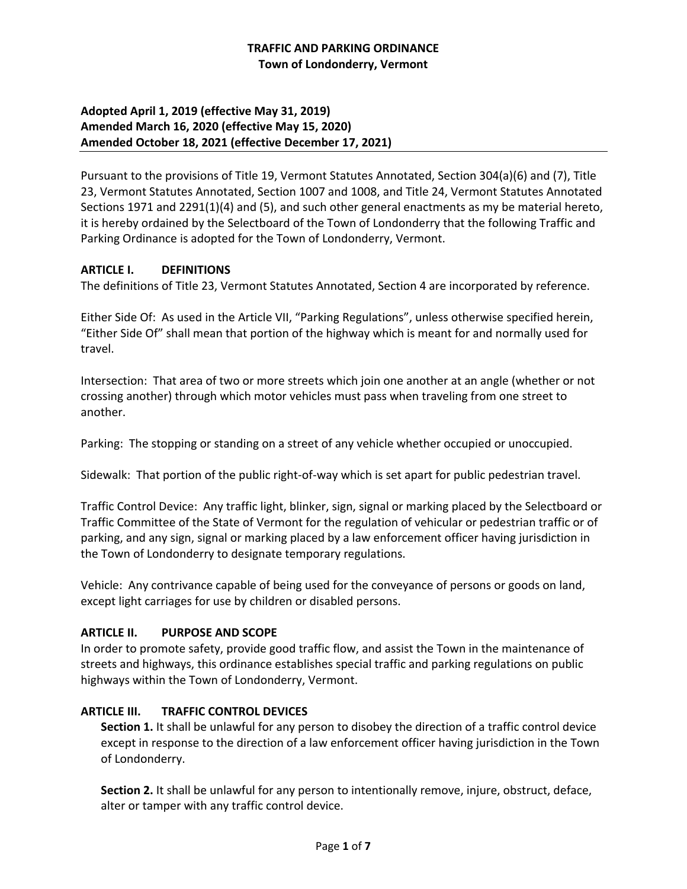# **TRAFFIC AND PARKING ORDINANCE Town of Londonderry, Vermont**

# **Adopted April 1, 2019 (effective May 31, 2019) Amended March 16, 2020 (effective May 15, 2020) Amended October 18, 2021 (effective December 17, 2021)**

Pursuant to the provisions of Title 19, Vermont Statutes Annotated, Section 304(a)(6) and (7), Title 23, Vermont Statutes Annotated, Section 1007 and 1008, and Title 24, Vermont Statutes Annotated Sections 1971 and 2291(1)(4) and (5), and such other general enactments as my be material hereto, it is hereby ordained by the Selectboard of the Town of Londonderry that the following Traffic and Parking Ordinance is adopted for the Town of Londonderry, Vermont.

# **ARTICLE I. DEFINITIONS**

The definitions of Title 23, Vermont Statutes Annotated, Section 4 are incorporated by reference.

Either Side Of: As used in the Article VII, "Parking Regulations", unless otherwise specified herein, "Either Side Of" shall mean that portion of the highway which is meant for and normally used for travel.

Intersection: That area of two or more streets which join one another at an angle (whether or not crossing another) through which motor vehicles must pass when traveling from one street to another.

Parking: The stopping or standing on a street of any vehicle whether occupied or unoccupied.

Sidewalk: That portion of the public right-of-way which is set apart for public pedestrian travel.

Traffic Control Device: Any traffic light, blinker, sign, signal or marking placed by the Selectboard or Traffic Committee of the State of Vermont for the regulation of vehicular or pedestrian traffic or of parking, and any sign, signal or marking placed by a law enforcement officer having jurisdiction in the Town of Londonderry to designate temporary regulations.

Vehicle: Any contrivance capable of being used for the conveyance of persons or goods on land, except light carriages for use by children or disabled persons.

# **ARTICLE II. PURPOSE AND SCOPE**

In order to promote safety, provide good traffic flow, and assist the Town in the maintenance of streets and highways, this ordinance establishes special traffic and parking regulations on public highways within the Town of Londonderry, Vermont.

# **ARTICLE III. TRAFFIC CONTROL DEVICES**

**Section 1.** It shall be unlawful for any person to disobey the direction of a traffic control device except in response to the direction of a law enforcement officer having jurisdiction in the Town of Londonderry.

**Section 2.** It shall be unlawful for any person to intentionally remove, injure, obstruct, deface, alter or tamper with any traffic control device.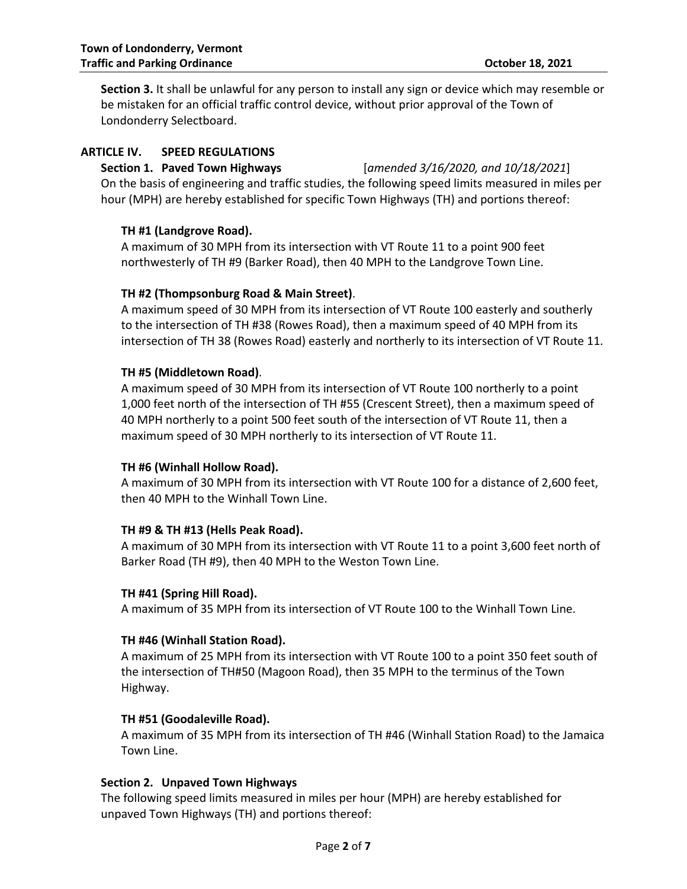**Section 3.** It shall be unlawful for any person to install any sign or device which may resemble or be mistaken for an official traffic control device, without prior approval of the Town of Londonderry Selectboard.

# **ARTICLE IV. SPEED REGULATIONS**

## **Section 1. Paved Town Highways** [*amended 3/16/2020, and 10/18/2021*]

On the basis of engineering and traffic studies, the following speed limits measured in miles per hour (MPH) are hereby established for specific Town Highways (TH) and portions thereof:

## **TH #1 (Landgrove Road).**

A maximum of 30 MPH from its intersection with VT Route 11 to a point 900 feet northwesterly of TH #9 (Barker Road), then 40 MPH to the Landgrove Town Line.

## **TH #2 (Thompsonburg Road & Main Street)**.

A maximum speed of 30 MPH from its intersection of VT Route 100 easterly and southerly to the intersection of TH #38 (Rowes Road), then a maximum speed of 40 MPH from its intersection of TH 38 (Rowes Road) easterly and northerly to its intersection of VT Route 11.

## **TH #5 (Middletown Road)**.

A maximum speed of 30 MPH from its intersection of VT Route 100 northerly to a point 1,000 feet north of the intersection of TH #55 (Crescent Street), then a maximum speed of 40 MPH northerly to a point 500 feet south of the intersection of VT Route 11, then a maximum speed of 30 MPH northerly to its intersection of VT Route 11.

#### **TH #6 (Winhall Hollow Road).**

A maximum of 30 MPH from its intersection with VT Route 100 for a distance of 2,600 feet, then 40 MPH to the Winhall Town Line.

# **TH #9 & TH #13 (Hells Peak Road).**

A maximum of 30 MPH from its intersection with VT Route 11 to a point 3,600 feet north of Barker Road (TH #9), then 40 MPH to the Weston Town Line.

#### **TH #41 (Spring Hill Road).**

A maximum of 35 MPH from its intersection of VT Route 100 to the Winhall Town Line.

#### **TH #46 (Winhall Station Road).**

A maximum of 25 MPH from its intersection with VT Route 100 to a point 350 feet south of the intersection of TH#50 (Magoon Road), then 35 MPH to the terminus of the Town Highway.

# **TH #51 (Goodaleville Road).**

A maximum of 35 MPH from its intersection of TH #46 (Winhall Station Road) to the Jamaica Town Line.

#### **Section 2. Unpaved Town Highways**

The following speed limits measured in miles per hour (MPH) are hereby established for unpaved Town Highways (TH) and portions thereof: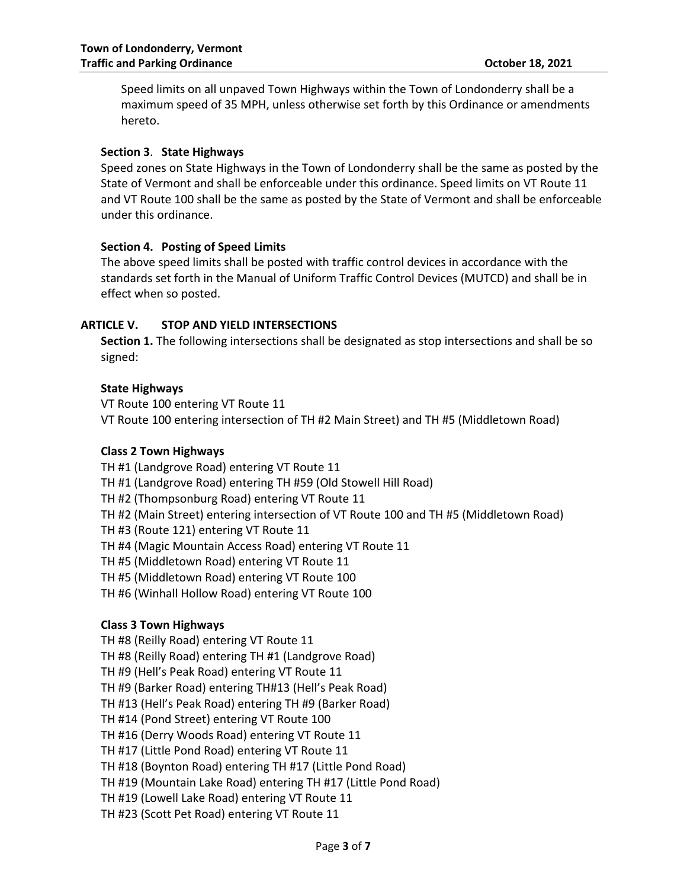Speed limits on all unpaved Town Highways within the Town of Londonderry shall be a maximum speed of 35 MPH, unless otherwise set forth by this Ordinance or amendments hereto.

#### **Section 3**. **State Highways**

Speed zones on State Highways in the Town of Londonderry shall be the same as posted by the State of Vermont and shall be enforceable under this ordinance. Speed limits on VT Route 11 and VT Route 100 shall be the same as posted by the State of Vermont and shall be enforceable under this ordinance.

#### **Section 4. Posting of Speed Limits**

The above speed limits shall be posted with traffic control devices in accordance with the standards set forth in the Manual of Uniform Traffic Control Devices (MUTCD) and shall be in effect when so posted.

## **ARTICLE V. STOP AND YIELD INTERSECTIONS**

**Section 1.** The following intersections shall be designated as stop intersections and shall be so signed:

## **State Highways**

VT Route 100 entering VT Route 11 VT Route 100 entering intersection of TH #2 Main Street) and TH #5 (Middletown Road)

#### **Class 2 Town Highways**

TH #1 (Landgrove Road) entering VT Route 11 TH #1 (Landgrove Road) entering TH #59 (Old Stowell Hill Road) TH #2 (Thompsonburg Road) entering VT Route 11 TH #2 (Main Street) entering intersection of VT Route 100 and TH #5 (Middletown Road) TH #3 (Route 121) entering VT Route 11 TH #4 (Magic Mountain Access Road) entering VT Route 11 TH #5 (Middletown Road) entering VT Route 11 TH #5 (Middletown Road) entering VT Route 100 TH #6 (Winhall Hollow Road) entering VT Route 100

#### **Class 3 Town Highways**

TH #8 (Reilly Road) entering VT Route 11 TH #8 (Reilly Road) entering TH #1 (Landgrove Road) TH #9 (Hell's Peak Road) entering VT Route 11 TH #9 (Barker Road) entering TH#13 (Hell's Peak Road) TH #13 (Hell's Peak Road) entering TH #9 (Barker Road) TH #14 (Pond Street) entering VT Route 100 TH #16 (Derry Woods Road) entering VT Route 11 TH #17 (Little Pond Road) entering VT Route 11 TH #18 (Boynton Road) entering TH #17 (Little Pond Road) TH #19 (Mountain Lake Road) entering TH #17 (Little Pond Road) TH #19 (Lowell Lake Road) entering VT Route 11 TH #23 (Scott Pet Road) entering VT Route 11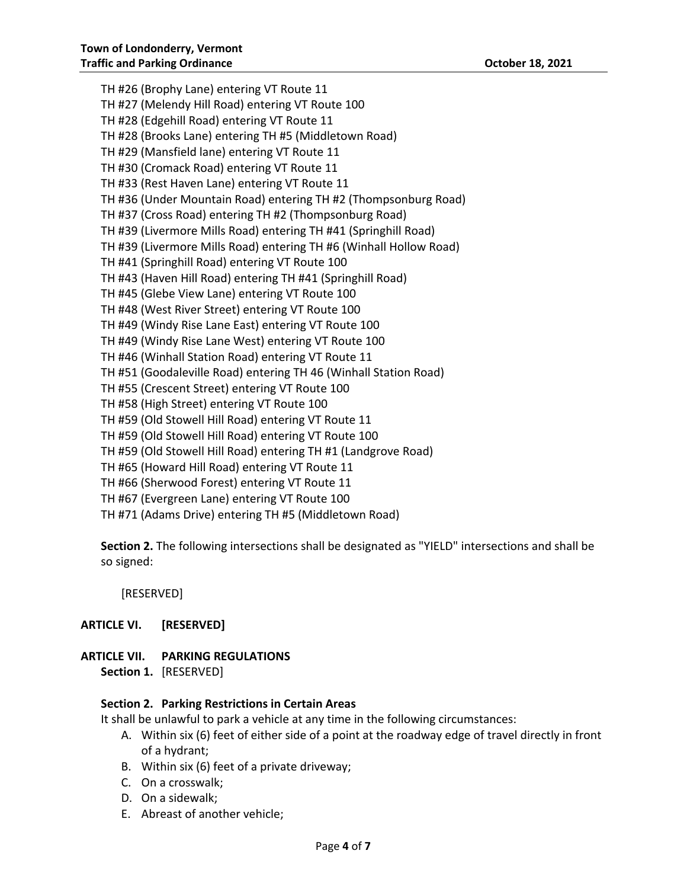TH #26 (Brophy Lane) entering VT Route 11 TH #27 (Melendy Hill Road) entering VT Route 100 TH #28 (Edgehill Road) entering VT Route 11 TH #28 (Brooks Lane) entering TH #5 (Middletown Road) TH #29 (Mansfield lane) entering VT Route 11 TH #30 (Cromack Road) entering VT Route 11 TH #33 (Rest Haven Lane) entering VT Route 11 TH #36 (Under Mountain Road) entering TH #2 (Thompsonburg Road) TH #37 (Cross Road) entering TH #2 (Thompsonburg Road) TH #39 (Livermore Mills Road) entering TH #41 (Springhill Road) TH #39 (Livermore Mills Road) entering TH #6 (Winhall Hollow Road) TH #41 (Springhill Road) entering VT Route 100 TH #43 (Haven Hill Road) entering TH #41 (Springhill Road) TH #45 (Glebe View Lane) entering VT Route 100 TH #48 (West River Street) entering VT Route 100 TH #49 (Windy Rise Lane East) entering VT Route 100 TH #49 (Windy Rise Lane West) entering VT Route 100 TH #46 (Winhall Station Road) entering VT Route 11 TH #51 (Goodaleville Road) entering TH 46 (Winhall Station Road) TH #55 (Crescent Street) entering VT Route 100 TH #58 (High Street) entering VT Route 100 TH #59 (Old Stowell Hill Road) entering VT Route 11 TH #59 (Old Stowell Hill Road) entering VT Route 100 TH #59 (Old Stowell Hill Road) entering TH #1 (Landgrove Road) TH #65 (Howard Hill Road) entering VT Route 11 TH #66 (Sherwood Forest) entering VT Route 11 TH #67 (Evergreen Lane) entering VT Route 100 TH #71 (Adams Drive) entering TH #5 (Middletown Road)

**Section 2.** The following intersections shall be designated as "YIELD" intersections and shall be so signed:

[RESERVED]

#### **ARTICLE VI. [RESERVED]**

**ARTICLE VII. PARKING REGULATIONS Section 1.** [RESERVED]

#### **Section 2. Parking Restrictions in Certain Areas**

It shall be unlawful to park a vehicle at any time in the following circumstances:

- A. Within six (6) feet of either side of a point at the roadway edge of travel directly in front of a hydrant;
- B. Within six (6) feet of a private driveway;
- C. On a crosswalk;
- D. On a sidewalk;
- E. Abreast of another vehicle;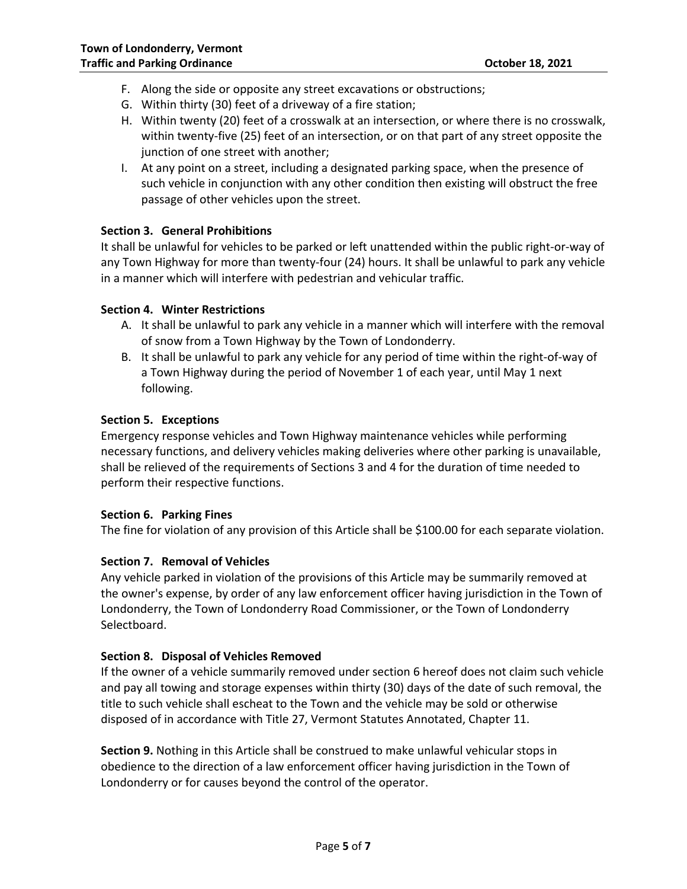- F. Along the side or opposite any street excavations or obstructions;
- G. Within thirty (30) feet of a driveway of a fire station;
- H. Within twenty (20) feet of a crosswalk at an intersection, or where there is no crosswalk, within twenty-five (25) feet of an intersection, or on that part of any street opposite the junction of one street with another;
- I. At any point on a street, including a designated parking space, when the presence of such vehicle in conjunction with any other condition then existing will obstruct the free passage of other vehicles upon the street.

## **Section 3. General Prohibitions**

It shall be unlawful for vehicles to be parked or left unattended within the public right-or-way of any Town Highway for more than twenty-four (24) hours. It shall be unlawful to park any vehicle in a manner which will interfere with pedestrian and vehicular traffic.

#### **Section 4. Winter Restrictions**

- A. It shall be unlawful to park any vehicle in a manner which will interfere with the removal of snow from a Town Highway by the Town of Londonderry.
- B. It shall be unlawful to park any vehicle for any period of time within the right-of-way of a Town Highway during the period of November 1 of each year, until May 1 next following.

#### **Section 5. Exceptions**

Emergency response vehicles and Town Highway maintenance vehicles while performing necessary functions, and delivery vehicles making deliveries where other parking is unavailable, shall be relieved of the requirements of Sections 3 and 4 for the duration of time needed to perform their respective functions.

#### **Section 6. Parking Fines**

The fine for violation of any provision of this Article shall be \$100.00 for each separate violation.

#### **Section 7. Removal of Vehicles**

Any vehicle parked in violation of the provisions of this Article may be summarily removed at the owner's expense, by order of any law enforcement officer having jurisdiction in the Town of Londonderry, the Town of Londonderry Road Commissioner, or the Town of Londonderry Selectboard.

#### **Section 8. Disposal of Vehicles Removed**

If the owner of a vehicle summarily removed under section 6 hereof does not claim such vehicle and pay all towing and storage expenses within thirty (30) days of the date of such removal, the title to such vehicle shall escheat to the Town and the vehicle may be sold or otherwise disposed of in accordance with Title 27, Vermont Statutes Annotated, Chapter 11.

**Section 9.** Nothing in this Article shall be construed to make unlawful vehicular stops in obedience to the direction of a law enforcement officer having jurisdiction in the Town of Londonderry or for causes beyond the control of the operator.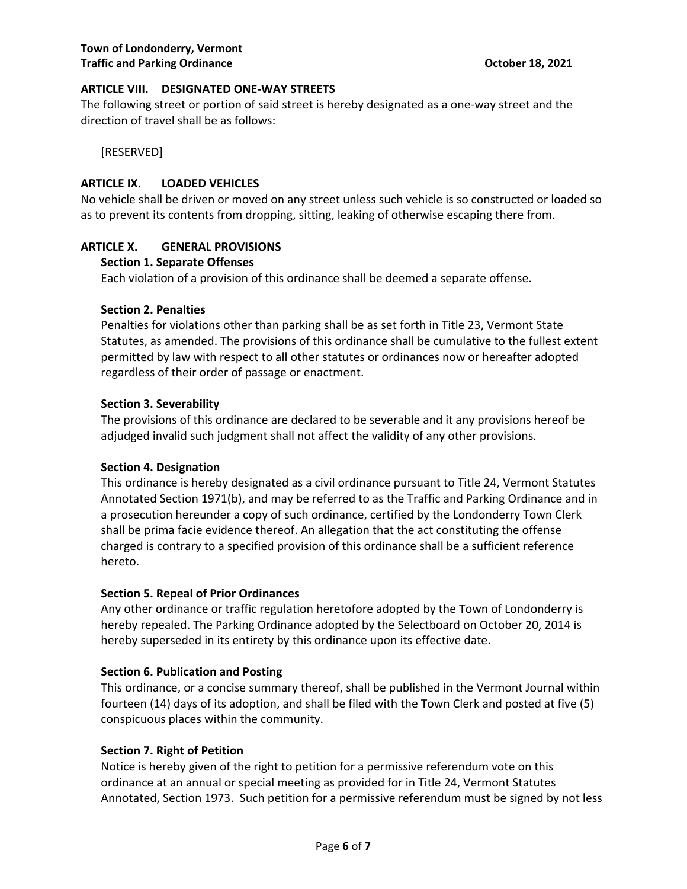#### **ARTICLE VIII. DESIGNATED ONE-WAY STREETS**

The following street or portion of said street is hereby designated as a one-way street and the direction of travel shall be as follows:

[RESERVED]

#### **ARTICLE IX. LOADED VEHICLES**

No vehicle shall be driven or moved on any street unless such vehicle is so constructed or loaded so as to prevent its contents from dropping, sitting, leaking of otherwise escaping there from.

## **ARTICLE X. GENERAL PROVISIONS**

#### **Section 1. Separate Offenses**

Each violation of a provision of this ordinance shall be deemed a separate offense.

#### **Section 2. Penalties**

Penalties for violations other than parking shall be as set forth in Title 23, Vermont State Statutes, as amended. The provisions of this ordinance shall be cumulative to the fullest extent permitted by law with respect to all other statutes or ordinances now or hereafter adopted regardless of their order of passage or enactment.

#### **Section 3. Severability**

The provisions of this ordinance are declared to be severable and it any provisions hereof be adjudged invalid such judgment shall not affect the validity of any other provisions.

#### **Section 4. Designation**

This ordinance is hereby designated as a civil ordinance pursuant to Title 24, Vermont Statutes Annotated Section 1971(b), and may be referred to as the Traffic and Parking Ordinance and in a prosecution hereunder a copy of such ordinance, certified by the Londonderry Town Clerk shall be prima facie evidence thereof. An allegation that the act constituting the offense charged is contrary to a specified provision of this ordinance shall be a sufficient reference hereto.

#### **Section 5. Repeal of Prior Ordinances**

Any other ordinance or traffic regulation heretofore adopted by the Town of Londonderry is hereby repealed. The Parking Ordinance adopted by the Selectboard on October 20, 2014 is hereby superseded in its entirety by this ordinance upon its effective date.

#### **Section 6. Publication and Posting**

This ordinance, or a concise summary thereof, shall be published in the Vermont Journal within fourteen (14) days of its adoption, and shall be filed with the Town Clerk and posted at five (5) conspicuous places within the community.

#### **Section 7. Right of Petition**

Notice is hereby given of the right to petition for a permissive referendum vote on this ordinance at an annual or special meeting as provided for in Title 24, Vermont Statutes Annotated, Section 1973. Such petition for a permissive referendum must be signed by not less